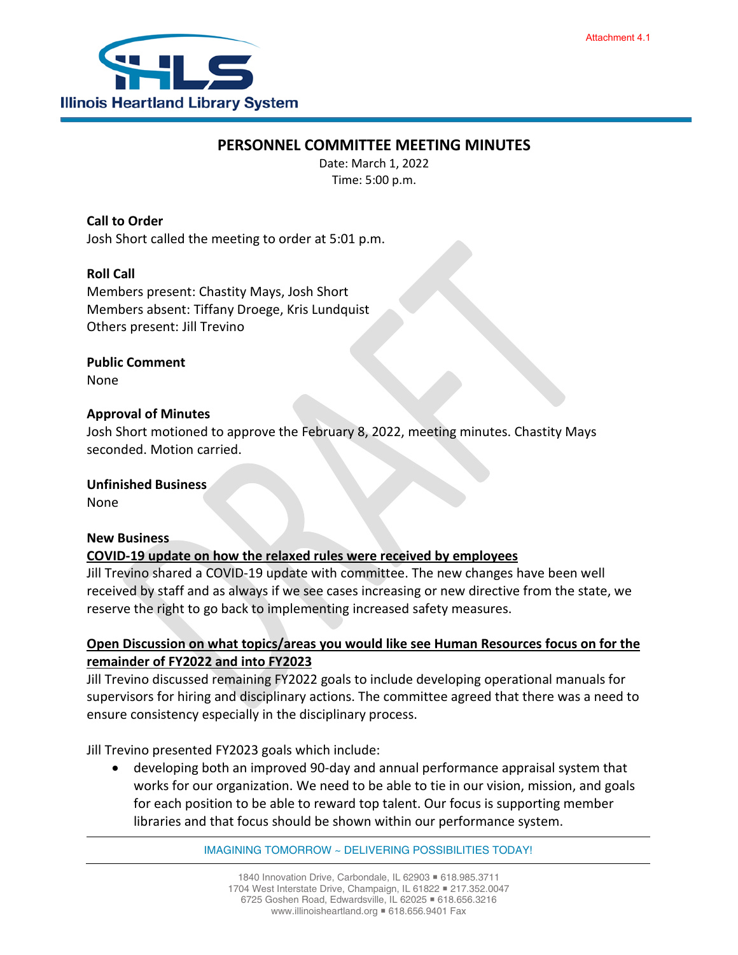

# **PERSONNEL COMMITTEE MEETING MINUTES**

Date: March 1, 2022 Time: 5:00 p.m.

# **Call to Order**

Josh Short called the meeting to order at 5:01 p.m.

# **Roll Call**

Members present: Chastity Mays, Josh Short Members absent: Tiffany Droege, Kris Lundquist Others present: Jill Trevino

**Public Comment** None

#### **Approval of Minutes**

Josh Short motioned to approve the February 8, 2022, meeting minutes. Chastity Mays seconded. Motion carried.

#### **Unfinished Business**

None

#### **New Business**

# **COVID-19 update on how the relaxed rules were received by employees**

Jill Trevino shared a COVID-19 update with committee. The new changes have been well received by staff and as always if we see cases increasing or new directive from the state, we reserve the right to go back to implementing increased safety measures.

## **Open Discussion on what topics/areas you would like see Human Resources focus on for the remainder of FY2022 and into FY2023**

Jill Trevino discussed remaining FY2022 goals to include developing operational manuals for supervisors for hiring and disciplinary actions. The committee agreed that there was a need to ensure consistency especially in the disciplinary process.

Jill Trevino presented FY2023 goals which include:

• developing both an improved 90-day and annual performance appraisal system that works for our organization. We need to be able to tie in our vision, mission, and goals for each position to be able to reward top talent. Our focus is supporting member libraries and that focus should be shown within our performance system.

IMAGINING TOMORROW ~ DELIVERING POSSIBILITIES TODAY!